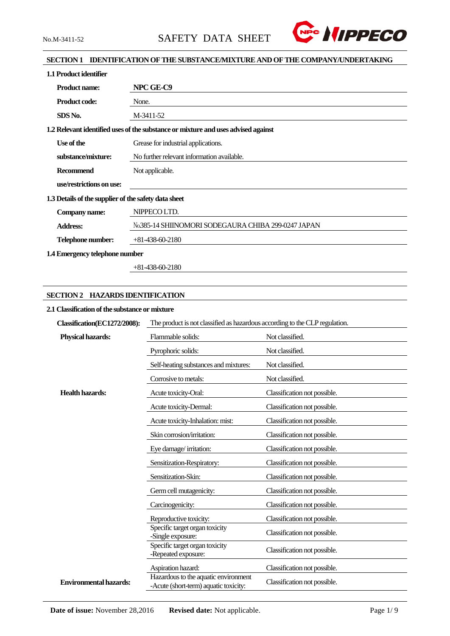

### **SECTION 1 IDENTIFICATION OF THE SUBSTANCE/MIXTURE AND OF THE COMPANY/UNDERTAKING**

| 1.1 Product identifier                               |                                                                                   |  |  |  |
|------------------------------------------------------|-----------------------------------------------------------------------------------|--|--|--|
| <b>Product name:</b>                                 | NPC GE-C9                                                                         |  |  |  |
| <b>Product code:</b>                                 | None.                                                                             |  |  |  |
| SDS No.                                              | M-3411-52                                                                         |  |  |  |
|                                                      | 1.2 Relevant identified uses of the substance or mixture and uses advised against |  |  |  |
| Use of the                                           | Grease for industrial applications.                                               |  |  |  |
| substance/mixture:                                   | No further relevant information available.                                        |  |  |  |
| <b>Recommend</b>                                     | Not applicable.                                                                   |  |  |  |
| use/restrictions on use:                             |                                                                                   |  |  |  |
| 1.3 Details of the supplier of the safety data sheet |                                                                                   |  |  |  |
| Company name:                                        | NIPPECO LTD.                                                                      |  |  |  |
| <b>Address:</b>                                      | No.385-14 SHIINOMORI SODEGAURA CHIBA 299-0247 JAPAN                               |  |  |  |
| Telephone number:                                    | $+81-438-60-2180$                                                                 |  |  |  |
| 1.4 Emergency telephone number                       |                                                                                   |  |  |  |

+81-438-60-2180

### **SECTION 2 HAZARDS IDENTIFICATION**

#### **2.1 Classification of the substance or mixture**

| Classification(EC1272/2008):  | The product is not classified as hazardous according to the CLP regulation.   |                              |  |  |  |
|-------------------------------|-------------------------------------------------------------------------------|------------------------------|--|--|--|
| Physical hazards:             | Flammable solids:                                                             | Not classified.              |  |  |  |
|                               | Pyrophoric solids:                                                            | Not classified.              |  |  |  |
|                               | Self-heating substances and mixtures:                                         | Not classified.              |  |  |  |
|                               | Corrosive to metals:                                                          | Not classified.              |  |  |  |
| <b>Health hazards:</b>        | Acute toxicity-Oral:                                                          | Classification not possible. |  |  |  |
|                               | Acute toxicity-Dermal:                                                        | Classification not possible. |  |  |  |
|                               | Acute toxicity-Inhalation: mist:                                              | Classification not possible. |  |  |  |
|                               | Skin corrosion/irritation:                                                    | Classification not possible. |  |  |  |
|                               | Eye damage/irritation:                                                        | Classification not possible. |  |  |  |
|                               | Sensitization-Respiratory:                                                    | Classification not possible. |  |  |  |
|                               | Sensitization-Skin:                                                           | Classification not possible. |  |  |  |
|                               | Germ cell mutagenicity:                                                       | Classification not possible. |  |  |  |
|                               | Carcinogenicity:                                                              | Classification not possible. |  |  |  |
|                               | Reproductive toxicity:                                                        | Classification not possible. |  |  |  |
|                               | Specific target organ toxicity<br>-Single exposure:                           | Classification not possible. |  |  |  |
|                               | Specific target organ toxicity<br>-Repeated exposure:                         | Classification not possible. |  |  |  |
|                               | Aspiration hazard:                                                            | Classification not possible. |  |  |  |
| <b>Environmental hazards:</b> | Hazardous to the aquatic environment<br>-Acute (short-term) aquatic toxicity: | Classification not possible. |  |  |  |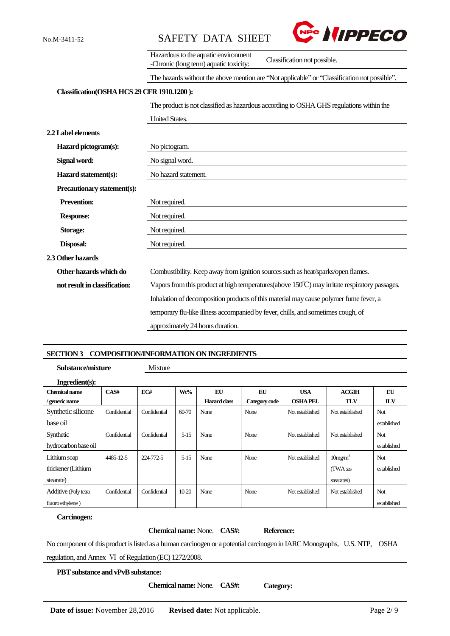

|                                            | Hazardous to the aquatic environment<br>Classification not possible.<br>-Chronic (long term) aquatic toxicity: |  |  |  |  |  |
|--------------------------------------------|----------------------------------------------------------------------------------------------------------------|--|--|--|--|--|
|                                            | The hazards without the above mention are "Not applicable" or "Classification not possible".                   |  |  |  |  |  |
| Classification(OSHA HCS 29 CFR 1910.1200): |                                                                                                                |  |  |  |  |  |
|                                            | The product is not classified as hazardous according to OSHA GHS regulations within the                        |  |  |  |  |  |
|                                            | <b>United States.</b>                                                                                          |  |  |  |  |  |
| <b>2.2 Label elements</b>                  |                                                                                                                |  |  |  |  |  |
| Hazard pictogram(s):                       | No pictogram.                                                                                                  |  |  |  |  |  |
| Signal word:                               | No signal word.                                                                                                |  |  |  |  |  |
| Hazard statement(s):                       | No hazard statement.                                                                                           |  |  |  |  |  |
| Precautionary statement(s):                |                                                                                                                |  |  |  |  |  |
| <b>Prevention:</b>                         | Not required.                                                                                                  |  |  |  |  |  |
| <b>Response:</b>                           | Not required.                                                                                                  |  |  |  |  |  |
| <b>Storage:</b>                            | Not required.                                                                                                  |  |  |  |  |  |
| Disposal:                                  | Not required.                                                                                                  |  |  |  |  |  |
| 2.3 Other hazards                          |                                                                                                                |  |  |  |  |  |
| Other hazards which do                     | Combustibility. Keep away from ignition sources such as heat/sparks/open flames.                               |  |  |  |  |  |
| not result in classification:              | Vapors from this product at high temperatures (above $150^{\circ}$ C) may irritate respiratory passages.       |  |  |  |  |  |
|                                            | Inhalation of decomposition products of this material may cause polymer fume fever, a                          |  |  |  |  |  |
|                                            | temporary flu-like illness accompanied by fever, chills, and sometimes cough, of                               |  |  |  |  |  |
|                                            | approximately 24 hours duration.                                                                               |  |  |  |  |  |

#### **SECTION 3 COMPOSITION/INFORMATION ON INGREDIENTS**

**Substance/mixture** Mixture

| Ingredient(s):       |              |              |           |              |               |                 |                     |             |
|----------------------|--------------|--------------|-----------|--------------|---------------|-----------------|---------------------|-------------|
| Chemical name        | CAS#         | EC#          | Wt%       | EU           | EU            | <b>USA</b>      | <b>ACGIH</b>        | EU          |
| / generic name       |              |              |           | Hazard class | Category code | <b>OSHA PEL</b> | <b>TLV</b>          | <b>ILV</b>  |
| Synthetic silicone   | Confidential | Confidential | $60 - 70$ | None         | None          | Not established | Not established     | Not         |
| base oil             |              |              |           |              |               |                 |                     | established |
| Synthetic            | Confidential | Confidential | $5 - 15$  | None         | None          | Not established | Not established     | Not.        |
| hydrocarbon base oil |              |              |           |              |               |                 |                     | established |
| Lithium soap         | 4485-12-5    | 224-772-5    | $5 - 15$  | None         | None          | Not established | 10mg/m <sup>3</sup> | Not         |
| thickener (Lithium   |              |              |           |              |               |                 | (TWA:as             | established |
| stearate)            |              |              |           |              |               |                 | stearates)          |             |
| Additive (Poly tetra | Confidential | Confidential | $10 - 20$ | None         | None          | Not established | Not established     | Not         |
| fluoro ethylene)     |              |              |           |              |               |                 |                     | established |

#### **Carcinogen:**

**Chemical name:** None. **CAS#: Reference:**

No component of this product is listed as a human carcinogen or a potential carcinogen in IARC Monographs, U.S. NTP, OSHA regulation, and Annex Ⅵ of Regulation (EC) 1272/2008.

#### **PBT substance and vPvB substance:**

**Chemical name:** None. **CAS#: Category:**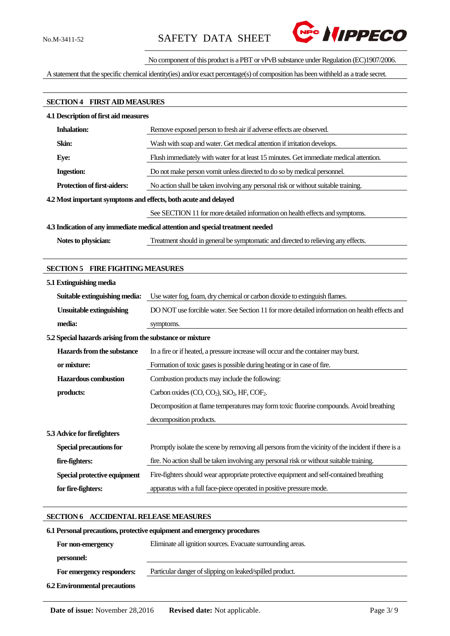

#### No component of this product is a PBT or vPvB substance under Regulation (EC)1907/2006.

A statement that the specific chemical identity(ies) and/or exact percentage(s) of composition has been withheld as a trade secret.

# **SECTION 4 FIRST AID MEASURES**

| <b>4.1 Description of first aid measures</b>                                   |                                                                                        |  |  |
|--------------------------------------------------------------------------------|----------------------------------------------------------------------------------------|--|--|
| <b>Inhalation:</b>                                                             | Remove exposed person to fresh air if adverse effects are observed.                    |  |  |
| Skin:                                                                          | Wash with soap and water. Get medical attention if irritation develops.                |  |  |
| Eye:                                                                           | Flush immediately with water for at least 15 minutes. Get immediate medical attention. |  |  |
| <b>Ingestion:</b>                                                              | Do not make person vomit unless directed to do so by medical personnel.                |  |  |
| <b>Protection of first-aiders:</b>                                             | No action shall be taken involving any personal risk or without suitable training.     |  |  |
| 4.2 Most important symptoms and effects, both acute and delayed                |                                                                                        |  |  |
|                                                                                | See SECTION 11 for more detailed information on health effects and symptoms.           |  |  |
| 4.3 Indication of any immediate medical attention and special treatment needed |                                                                                        |  |  |
| Notes to physician:                                                            | Treatment should in general be symptomatic and directed to relieving any effects.      |  |  |

#### **SECTION 5 FIRE FIGHTING MEASURES**

| 5.1 Extinguishing media                                   |                                                                                                    |
|-----------------------------------------------------------|----------------------------------------------------------------------------------------------------|
| Suitable extinguishing media:                             | Use water fog, foam, dry chemical or carbon dioxide to extinguish flames.                          |
| <b>Unsuitable extinguishing</b>                           | DO NOT use forcible water. See Section 11 for more detailed information on health effects and      |
| media:                                                    | symptoms.                                                                                          |
| 5.2 Special hazards arising from the substance or mixture |                                                                                                    |
| Hazards from the substance                                | In a fire or if heated, a pressure increase will occur and the container may burst.                |
| or mixture:                                               | Formation of toxic gases is possible during heating or in case of fire.                            |
| <b>Hazardous combustion</b>                               | Combustion products may include the following:                                                     |
| products:                                                 | Carbon oxides (CO, CO <sub>2</sub> ), SiO <sub>2</sub> , HF, COF <sub>2</sub> .                    |
|                                                           | Decomposition at flame temperatures may form toxic fluorine compounds. Avoid breathing             |
|                                                           | decomposition products.                                                                            |
| 5.3 Advice for firefighters                               |                                                                                                    |
| <b>Special precautions for</b>                            | Promptly isolate the scene by removing all persons from the vicinity of the incident if there is a |
| fire-fighters:                                            | fire. No action shall be taken involving any personal risk or without suitable training.           |
| Special protective equipment                              | Fire-fighters should wear appropriate protective equipment and self-contained breathing            |
| for fire-fighters:                                        | apparatus with a full face-piece operated in positive pressure mode.                               |

# **SECTION 6 ACCIDENTAL RELEASE MEASURES**

# **6.1Personal precautions, protective equipment and emergency procedures For non-emergency personnel:** Eliminate all ignition sources. Evacuate surrounding areas.  **For emergency responders:** Particular danger of slipping on leaked/spilled product. **6.2 Environmental precautions**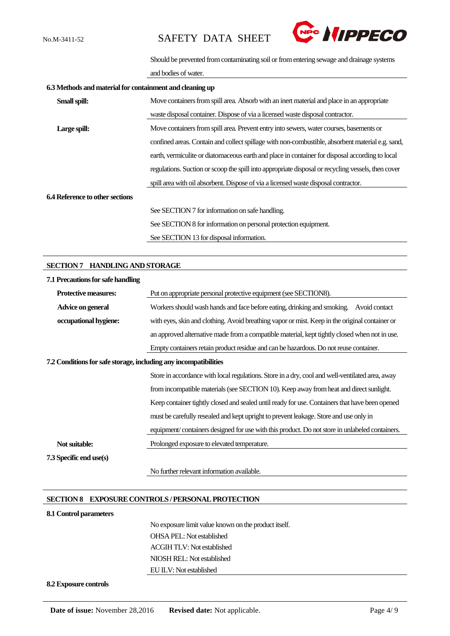

Should be prevented from contaminating soil or from entering sewage and drainage systems

and bodies of water.

| 6.3 Methods and material for containment and cleaning up |                                                                                                    |
|----------------------------------------------------------|----------------------------------------------------------------------------------------------------|
| Small spill:                                             | Move containers from spill area. Absorb with an inert material and place in an appropriate         |
|                                                          | waste disposal container. Dispose of via a licensed waste disposal contractor.                     |
| Large spill:                                             | Move containers from spill area. Prevent entry into sewers, water courses, basements or            |
|                                                          | confined areas. Contain and collect spillage with non-combustible, absorbent material e.g. sand,   |
|                                                          | earth, vermiculite or diatomaceous earth and place in container for disposal according to local    |
|                                                          | regulations. Suction or scoop the spill into appropriate disposal or recycling vessels, then cover |
|                                                          | spill area with oil absorbent. Dispose of via a licensed waste disposal contractor.                |
| 6.4 Reference to other sections                          |                                                                                                    |
|                                                          | See SECTION 7 for information on safe handling.                                                    |
|                                                          | See SECTION 8 for information on personal protection equipment.                                    |
|                                                          | See SECTION 13 for disposal information.                                                           |

#### **SECTION 7 HANDLING AND STORAGE**

| 7.1 Precautions for safe handling |                                                                                                 |  |  |  |
|-----------------------------------|-------------------------------------------------------------------------------------------------|--|--|--|
| <b>Protective measures:</b>       | Put on appropriate personal protective equipment (see SECTION8).                                |  |  |  |
| Advice on general                 | Workers should wash hands and face before eating, drinking and smoking.<br>Avoid contact        |  |  |  |
| occupational hygiene:             | with eyes, skin and clothing. Avoid breathing vapor or mist. Keep in the original container or  |  |  |  |
|                                   | an approved alternative made from a compatible material, kept tightly closed when not in use.   |  |  |  |
|                                   | Empty containers retain product residue and can be hazardous. Do not reuse container.           |  |  |  |
|                                   | 7.2 Conditions for safe storage, including any incompatibilities                                |  |  |  |
|                                   | Store in accordance with local regulations. Store in a dry, cool and well-ventilated area, away |  |  |  |
|                                   | from incompatible materials (see SECTION 10). Keep away from heat and direct sunlight.          |  |  |  |
|                                   | Keep container tightly closed and sealed until ready for use. Containers that have been opened  |  |  |  |
|                                   | must be carefully resealed and kept upright to prevent leakage. Store and use only in           |  |  |  |
|                                   | equipment/containers designed for use with this product. Do not store in unlabeled containers.  |  |  |  |
| Not suitable:                     | Prolonged exposure to elevated temperature.                                                     |  |  |  |
| <b>7.3 Specific end use(s)</b>    |                                                                                                 |  |  |  |
|                                   | No further relevant information available.                                                      |  |  |  |

#### **SECTION 8 EXPOSURE CONTROLS / PERSONAL PROTECTION**

#### **8.1 Control parameters**

No exposure limit value known on the product itself. OHSA PEL: Not established ACGIH TLV: Not established NIOSH REL: Not established EU ILV: Not established

#### **8.2 Exposure controls**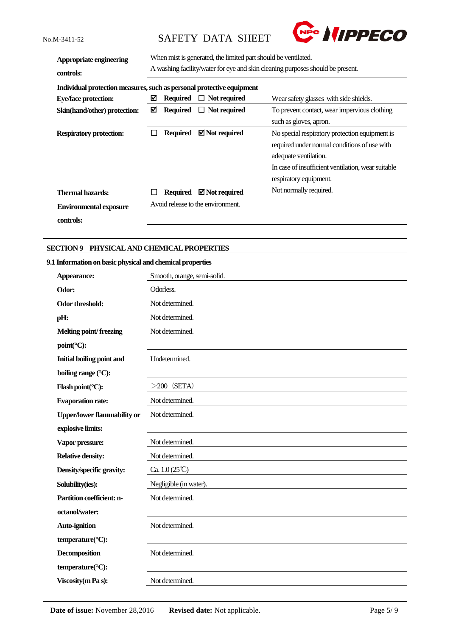

| Appropriate engineering<br>controls:                                  | When mist is generated, the limited part should be ventilated.<br>A washing facility/water for eye and skin cleaning purposes should be present. |                                                                                        |                                   |                                                    |
|-----------------------------------------------------------------------|--------------------------------------------------------------------------------------------------------------------------------------------------|----------------------------------------------------------------------------------------|-----------------------------------|----------------------------------------------------|
| Individual protection measures, such as personal protective equipment |                                                                                                                                                  |                                                                                        |                                   |                                                    |
| <b>Eye/face protection:</b>                                           | ⊠                                                                                                                                                | <b>Required</b>                                                                        | Not required<br>ப                 | Wear safety glasses with side shields.             |
| Skin(hand/other) protection:                                          | ⊠                                                                                                                                                | <b>Required</b><br>To prevent contact, wear impervious clothing<br>$\Box$ Not required |                                   |                                                    |
|                                                                       |                                                                                                                                                  |                                                                                        |                                   | such as gloves, apron.                             |
| <b>Respiratory protection:</b>                                        |                                                                                                                                                  | <b>Required</b>                                                                        | $\boxtimes$ Not required          | No special respiratory protection equipment is     |
|                                                                       |                                                                                                                                                  |                                                                                        |                                   | required under normal conditions of use with       |
|                                                                       |                                                                                                                                                  |                                                                                        |                                   | adequate ventilation.                              |
|                                                                       |                                                                                                                                                  |                                                                                        |                                   | In case of insufficient ventilation, wear suitable |
|                                                                       |                                                                                                                                                  |                                                                                        |                                   | respiratory equipment.                             |
| Thermal hazards:                                                      |                                                                                                                                                  | <b>Required</b>                                                                        | $\boxtimes$ Not required          | Not normally required.                             |
| <b>Environmental exposure</b>                                         |                                                                                                                                                  |                                                                                        | Avoid release to the environment. |                                                    |
| controls:                                                             |                                                                                                                                                  |                                                                                        |                                   |                                                    |

#### **SECTION 9 PHYSICAL AND CHEMICAL PROPERTIES**

#### **9.1 Information on basic physical and chemical properties**

| Appearance:                        | Smooth, orange, semi-solid.   |
|------------------------------------|-------------------------------|
| Odor:                              | Odorless.                     |
| <b>Odor threshold:</b>             | Not determined.               |
| pH:                                | Not determined.               |
| Melting point/freezing             | Not determined.               |
| point(°C):                         |                               |
| <b>Initial boiling point and</b>   | Undetermined.                 |
| boiling range (°C):                |                               |
| Flash point(°C):                   | $>200$ (SETA)                 |
| <b>Evaporation rate:</b>           | Not determined.               |
| <b>Upper/lower flammability or</b> | Not determined.               |
| explosive limits:                  |                               |
| Vapor pressure:                    | Not determined.               |
| <b>Relative density:</b>           | Not determined.               |
| Density/specific gravity:          | Ca. $1.0(25^{\circ}\text{C})$ |
| Solubility(ies):                   | Negligible (in water).        |
| Partition coefficient: n-          | Not determined.               |
| octanol/water:                     |                               |
| Auto-ignition                      | Not determined.               |
| temperature(°C):                   |                               |
| <b>Decomposition</b>               | Not determined.               |
| temperature(°C):                   |                               |
| <b>Viscosity</b> (m Pa s):         | Not determined.               |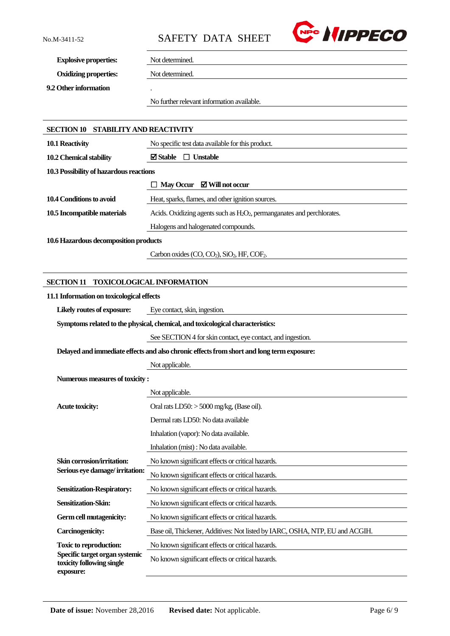

**Explosive properties:** Not determined.

**Oxidizing properties:** Not determined.

**9.2 Other information** .

No further relevant information available.

| <b>SECTION 10 STABILITY AND REACTIVITY</b>                               |                                                                                           |  |  |  |  |
|--------------------------------------------------------------------------|-------------------------------------------------------------------------------------------|--|--|--|--|
| 10.1 Reactivity                                                          | No specific test data available for this product.                                         |  |  |  |  |
| 10.2 Chemical stability                                                  | $\boxtimes$ Stable<br>$\Box$ Unstable                                                     |  |  |  |  |
| 10.3 Possibility of hazardous reactions                                  |                                                                                           |  |  |  |  |
|                                                                          | May Occur $\boxtimes$ Will not occur                                                      |  |  |  |  |
| 10.4 Conditions to avoid                                                 | Heat, sparks, flames, and other ignition sources.                                         |  |  |  |  |
| 10.5 Incompatible materials                                              | Acids. Oxidizing agents such as $H_2O_2$ , permanganates and perchlorates.                |  |  |  |  |
|                                                                          | Halogens and halogenated compounds.                                                       |  |  |  |  |
| 10.6 Hazardous decomposition products                                    |                                                                                           |  |  |  |  |
|                                                                          | Carbon oxides $(CO, CO2)$ , SiO <sub>2</sub> , HF, COF <sub>2</sub> .                     |  |  |  |  |
|                                                                          |                                                                                           |  |  |  |  |
| <b>SECTION 11</b>                                                        | <b>TOXICOLOGICAL INFORMATION</b>                                                          |  |  |  |  |
| 11.1 Information on toxicological effects                                |                                                                                           |  |  |  |  |
| Likely routes of exposure:                                               | Eye contact, skin, ingestion.                                                             |  |  |  |  |
|                                                                          | Symptoms related to the physical, chemical, and toxicological characteristics:            |  |  |  |  |
|                                                                          | See SECTION 4 for skin contact, eye contact, and ingestion.                               |  |  |  |  |
|                                                                          | Delayed and immediate effects and also chronic effects from short and long term exposure: |  |  |  |  |
|                                                                          | Not applicable.                                                                           |  |  |  |  |
| Numerous measures of toxicity:                                           |                                                                                           |  |  |  |  |
|                                                                          | Not applicable.                                                                           |  |  |  |  |
| <b>Acute toxicity:</b>                                                   | Oral rats $LD50$ : $> 5000$ mg/kg, (Base oil).                                            |  |  |  |  |
|                                                                          | Dermal rats LD50: No data available                                                       |  |  |  |  |
|                                                                          | Inhalation (vapor): No data available.                                                    |  |  |  |  |
|                                                                          | Inhalation (mist): No data available.                                                     |  |  |  |  |
| Skin corrosion/irritation:                                               | No known significant effects or critical hazards.                                         |  |  |  |  |
| Serious eye damage/irritation:                                           | No known significant effects or critical hazards.                                         |  |  |  |  |
| <b>Sensitization-Respiratory:</b>                                        | No known significant effects or critical hazards.                                         |  |  |  |  |
| Sensitization-Skin:                                                      | No known significant effects or critical hazards.                                         |  |  |  |  |
| Germ cell mutagenicity:                                                  | No known significant effects or critical hazards.                                         |  |  |  |  |
| <b>Carcinogenicity:</b>                                                  | Base oil, Thickener, Additives: Not listed by IARC, OSHA, NTP, EU and ACGIH.              |  |  |  |  |
| <b>Toxic to reproduction:</b>                                            | No known significant effects or critical hazards.                                         |  |  |  |  |
| Specific target organ systemic<br>toxicity following single<br>exposure: | No known significant effects or critical hazards.                                         |  |  |  |  |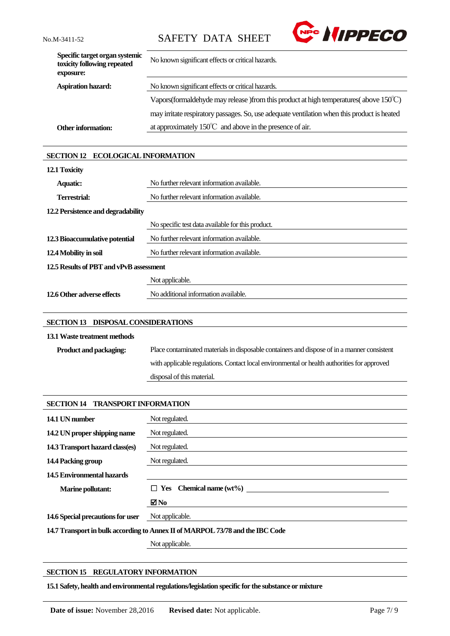

| Specific target organ systemic<br>toxicity following repeated<br>exposure: | No known significant effects or critical hazards.                                                 |
|----------------------------------------------------------------------------|---------------------------------------------------------------------------------------------------|
| <b>Aspiration hazard:</b>                                                  | No known significant effects or critical hazards.                                                 |
|                                                                            | Vapors (formal dehyde may release) from this product at high temperatures (above $150^{\circ}$ C) |
|                                                                            | may irritate respiratory passages. So, use adequate ventilation when this product is heated       |
| <b>Other information:</b>                                                  | at approximately $150^{\circ}$ and above in the presence of air.                                  |

### **SECTION 12 ECOLOGICAL INFORMATION**

| 12.1 Toxicity                           |                                                   |
|-----------------------------------------|---------------------------------------------------|
| <b>Aquatic:</b>                         | No further relevant information available.        |
| Terrestrial:                            | No further relevant information available.        |
| 12.2 Persistence and degradability      |                                                   |
|                                         | No specific test data available for this product. |
| 12.3 Bioaccumulative potential          | No further relevant information available.        |
| 12.4 Mobility in soil                   | No further relevant information available.        |
| 12.5 Results of PBT and vPvB assessment |                                                   |
|                                         | Not applicable.                                   |
| 12.6 Other adverse effects              | No additional information available.              |

### **SECTION 13 DISPOSAL CONSIDERATIONS**

### **13.1Waste treatment methods**

| <b>Product and packaging:</b> | Place contaminated materials in disposable containers and dispose of in a manner consistent |
|-------------------------------|---------------------------------------------------------------------------------------------|
|                               | with applicable regulations. Contact local environmental or health authorities for approved |
|                               | disposal of this material.                                                                  |

| <b>SECTION 14 TRANSPORT INFORMATION</b>                                       |                                |  |
|-------------------------------------------------------------------------------|--------------------------------|--|
| 14.1 UN number                                                                | Not regulated.                 |  |
| 14.2 UN proper shipping name                                                  | Not regulated.                 |  |
| 14.3 Transport hazard class(es)                                               | Not regulated.                 |  |
| 14.4 Packing group                                                            | Not regulated.                 |  |
| 14.5 Environmental hazards                                                    |                                |  |
| <b>Marine pollutant:</b>                                                      | $\Box$ Yes Chemical name (wt%) |  |
|                                                                               | ⊠No                            |  |
| 14.6 Special precautions for user                                             | Not applicable.                |  |
| 14.7 Transport in bulk according to Annex II of MARPOL 73/78 and the IBC Code |                                |  |
|                                                                               | Not applicable.                |  |

# **SECTION 15 REGULATORY INFORMATION**

**15.1 Safety, health and environmental regulations/legislation specific for the substance or mixture**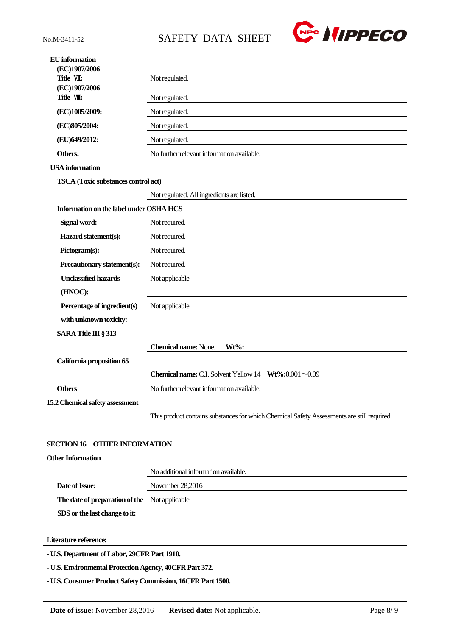

| SARA Title III § 313                       | <b>Chemical name: None.</b><br>$Wt\%$ :    |
|--------------------------------------------|--------------------------------------------|
|                                            |                                            |
| with unknown toxicity:                     |                                            |
| Percentage of ingredient(s)                | Not applicable.                            |
|                                            |                                            |
| (HNOC):                                    |                                            |
| <b>Unclassified hazards</b>                | Not applicable.                            |
|                                            |                                            |
| Precautionary statement(s):                | Not required.                              |
|                                            |                                            |
| Pictogram(s):                              | Not required.                              |
|                                            |                                            |
| Hazard statement(s):                       | Not required.                              |
|                                            |                                            |
| Signal word:                               | Not required.                              |
|                                            |                                            |
| Information on the label under OSHA HCS    |                                            |
|                                            |                                            |
|                                            | Not regulated. All ingredients are listed. |
|                                            |                                            |
| <b>TSCA</b> (Toxic substances control act) |                                            |
| <b>USA</b> information                     |                                            |
| Others:                                    | No further relevant information available. |
|                                            |                                            |
| (EU)649/2012:                              | Not regulated.                             |
| (EC)805/2004:                              | Not regulated.                             |
| (EC)1005/2009:                             | Not regulated.                             |
|                                            |                                            |
| (EC)1907/2006<br>Title VII:                | Not regulated.                             |
| Title VII:                                 | Not regulated.                             |
| (EC)1907/2006                              |                                            |
|                                            |                                            |

**- U.S. Environmental Protection Agency, 40CFR Part 372.**

**- U.S. Consumer Product Safety Commission, 16CFR Part 1500.**